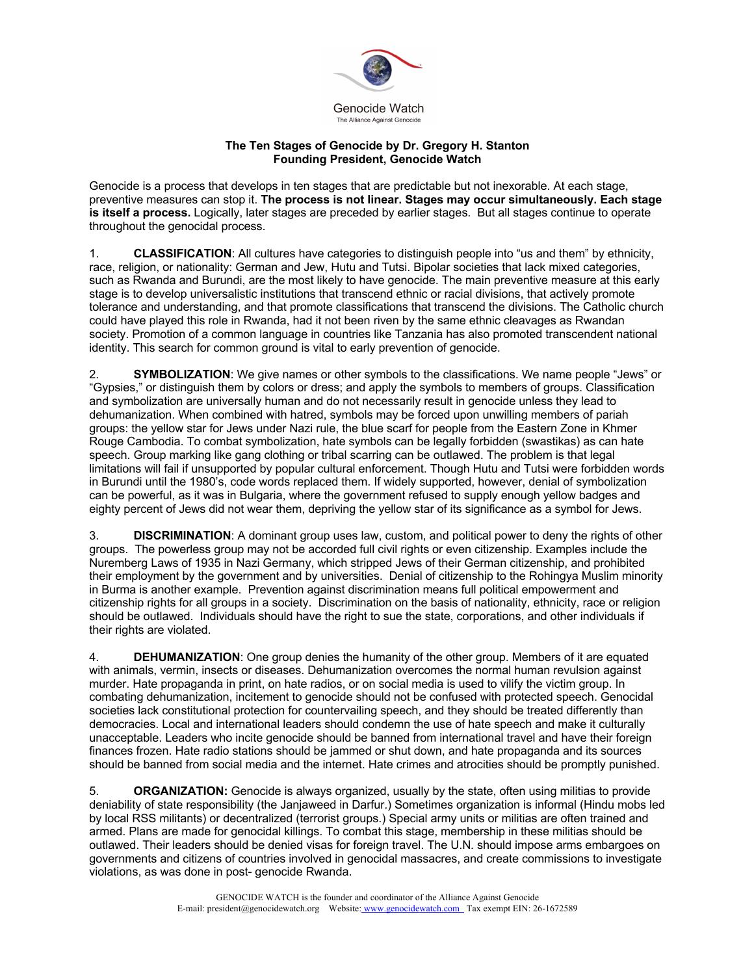

## **The Ten Stages of Genocide by Dr. Gregory H. Stanton Founding President, Genocide Watch**

Genocide is a process that develops in ten stages that are predictable but not inexorable. At each stage, preventive measures can stop it. **The process is not linear. Stages may occur simultaneously. Each stage is itself a process.** Logically, later stages are preceded by earlier stages. But all stages continue to operate throughout the genocidal process.

1. **CLASSIFICATION**: All cultures have categories to distinguish people into "us and them" by ethnicity, race, religion, or nationality: German and Jew, Hutu and Tutsi. Bipolar societies that lack mixed categories, such as Rwanda and Burundi, are the most likely to have genocide. The main preventive measure at this early stage is to develop universalistic institutions that transcend ethnic or racial divisions, that actively promote tolerance and understanding, and that promote classifications that transcend the divisions. The Catholic church could have played this role in Rwanda, had it not been riven by the same ethnic cleavages as Rwandan society. Promotion of a common language in countries like Tanzania has also promoted transcendent national identity. This search for common ground is vital to early prevention of genocide.

2. **SYMBOLIZATION**: We give names or other symbols to the classifications. We name people "Jews" or "Gypsies," or distinguish them by colors or dress; and apply the symbols to members of groups. Classification and symbolization are universally human and do not necessarily result in genocide unless they lead to dehumanization. When combined with hatred, symbols may be forced upon unwilling members of pariah groups: the yellow star for Jews under Nazi rule, the blue scarf for people from the Eastern Zone in Khmer Rouge Cambodia. To combat symbolization, hate symbols can be legally forbidden (swastikas) as can hate speech. Group marking like gang clothing or tribal scarring can be outlawed. The problem is that legal limitations will fail if unsupported by popular cultural enforcement. Though Hutu and Tutsi were forbidden words in Burundi until the 1980's, code words replaced them. If widely supported, however, denial of symbolization can be powerful, as it was in Bulgaria, where the government refused to supply enough yellow badges and eighty percent of Jews did not wear them, depriving the yellow star of its significance as a symbol for Jews.

3. **DISCRIMINATION**: A dominant group uses law, custom, and political power to deny the rights of other groups. The powerless group may not be accorded full civil rights or even citizenship. Examples include the Nuremberg Laws of 1935 in Nazi Germany, which stripped Jews of their German citizenship, and prohibited their employment by the government and by universities. Denial of citizenship to the Rohingya Muslim minority in Burma is another example. Prevention against discrimination means full political empowerment and citizenship rights for all groups in a society. Discrimination on the basis of nationality, ethnicity, race or religion should be outlawed. Individuals should have the right to sue the state, corporations, and other individuals if their rights are violated.

4. **DEHUMANIZATION**: One group denies the humanity of the other group. Members of it are equated with animals, vermin, insects or diseases. Dehumanization overcomes the normal human revulsion against murder. Hate propaganda in print, on hate radios, or on social media is used to vilify the victim group. In combating dehumanization, incitement to genocide should not be confused with protected speech. Genocidal societies lack constitutional protection for countervailing speech, and they should be treated differently than democracies. Local and international leaders should condemn the use of hate speech and make it culturally unacceptable. Leaders who incite genocide should be banned from international travel and have their foreign finances frozen. Hate radio stations should be jammed or shut down, and hate propaganda and its sources should be banned from social media and the internet. Hate crimes and atrocities should be promptly punished.

5. **ORGANIZATION:** Genocide is always organized, usually by the state, often using militias to provide deniability of state responsibility (the Janjaweed in Darfur.) Sometimes organization is informal (Hindu mobs led by local RSS militants) or decentralized (terrorist groups.) Special army units or militias are often trained and armed. Plans are made for genocidal killings. To combat this stage, membership in these militias should be outlawed. Their leaders should be denied visas for foreign travel. The U.N. should impose arms embargoes on governments and citizens of countries involved in genocidal massacres, and create commissions to investigate violations, as was done in post- genocide Rwanda.